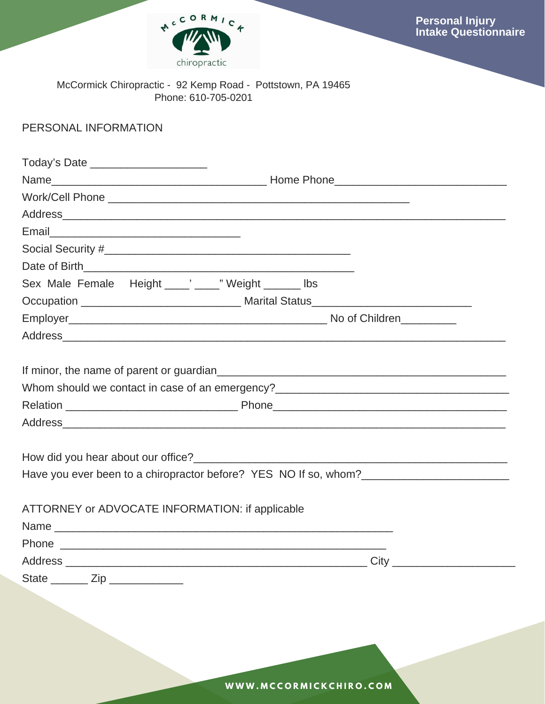

# PERSONAL INFORMATION

| Today's Date ________________________                   |                                                                                   |  |  |  |  |
|---------------------------------------------------------|-----------------------------------------------------------------------------------|--|--|--|--|
|                                                         |                                                                                   |  |  |  |  |
|                                                         |                                                                                   |  |  |  |  |
|                                                         |                                                                                   |  |  |  |  |
|                                                         |                                                                                   |  |  |  |  |
|                                                         |                                                                                   |  |  |  |  |
|                                                         |                                                                                   |  |  |  |  |
| Sex Male Female Height _____' _____" Weight _______ lbs |                                                                                   |  |  |  |  |
|                                                         |                                                                                   |  |  |  |  |
|                                                         |                                                                                   |  |  |  |  |
|                                                         |                                                                                   |  |  |  |  |
|                                                         | Whom should we contact in case of an emergency?__________________________________ |  |  |  |  |
|                                                         |                                                                                   |  |  |  |  |
|                                                         | Have you ever been to a chiropractor before? YES NO If so, whom?                  |  |  |  |  |
| ATTORNEY or ADVOCATE INFORMATION: if applicable<br>Name |                                                                                   |  |  |  |  |
|                                                         |                                                                                   |  |  |  |  |
|                                                         |                                                                                   |  |  |  |  |
| State ________ Zip                                      |                                                                                   |  |  |  |  |

**W W W . M C C O R M I C K C H I R O . C O M**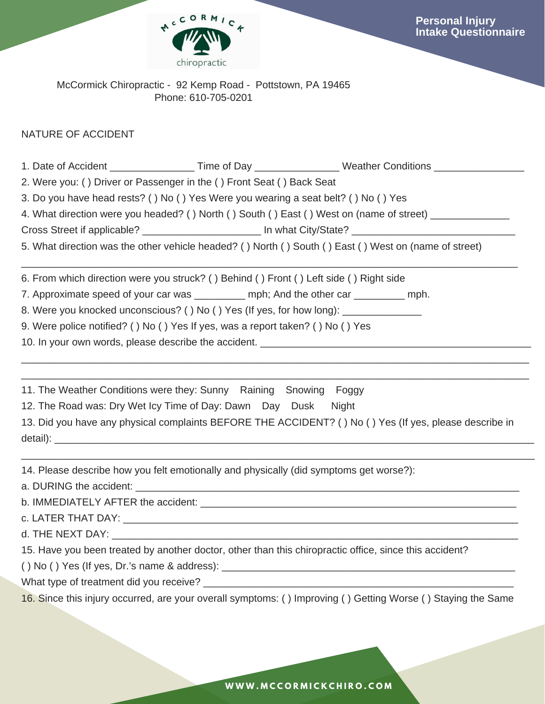

### NATURE OF ACCIDENT

|                                                                                                            |                                                                                                                                                                                                                                | 1. Date of Accident _____________________Time of Day __________________Weather Conditions ___________________ |  |  |  |  |  |  |
|------------------------------------------------------------------------------------------------------------|--------------------------------------------------------------------------------------------------------------------------------------------------------------------------------------------------------------------------------|---------------------------------------------------------------------------------------------------------------|--|--|--|--|--|--|
|                                                                                                            | 2. Were you: () Driver or Passenger in the () Front Seat () Back Seat                                                                                                                                                          |                                                                                                               |  |  |  |  |  |  |
|                                                                                                            | 3. Do you have head rests? () No () Yes Were you wearing a seat belt? () No () Yes                                                                                                                                             |                                                                                                               |  |  |  |  |  |  |
|                                                                                                            |                                                                                                                                                                                                                                | 4. What direction were you headed? () North () South () East () West on (name of street) ___________          |  |  |  |  |  |  |
| Cross Street if applicable? __________________________ In what City/State? _______________________________ |                                                                                                                                                                                                                                |                                                                                                               |  |  |  |  |  |  |
| 5. What direction was the other vehicle headed? () North () South () East () West on (name of street)      |                                                                                                                                                                                                                                |                                                                                                               |  |  |  |  |  |  |
|                                                                                                            | 6. From which direction were you struck? () Behind () Front () Left side () Right side                                                                                                                                         |                                                                                                               |  |  |  |  |  |  |
|                                                                                                            | 7. Approximate speed of your car was __________ mph; And the other car _________ mph.                                                                                                                                          |                                                                                                               |  |  |  |  |  |  |
|                                                                                                            | 8. Were you knocked unconscious? () No () Yes (If yes, for how long): ___________                                                                                                                                              |                                                                                                               |  |  |  |  |  |  |
|                                                                                                            | 9. Were police notified? () No () Yes If yes, was a report taken? () No () Yes                                                                                                                                                 |                                                                                                               |  |  |  |  |  |  |
|                                                                                                            |                                                                                                                                                                                                                                |                                                                                                               |  |  |  |  |  |  |
|                                                                                                            | 11. The Weather Conditions were they: Sunny Raining Snowing Foggy                                                                                                                                                              |                                                                                                               |  |  |  |  |  |  |
|                                                                                                            | 12. The Road was: Dry Wet Icy Time of Day: Dawn Day Dusk Night                                                                                                                                                                 |                                                                                                               |  |  |  |  |  |  |
|                                                                                                            |                                                                                                                                                                                                                                | 13. Did you have any physical complaints BEFORE THE ACCIDENT? () No () Yes (If yes, please describe in        |  |  |  |  |  |  |
|                                                                                                            |                                                                                                                                                                                                                                |                                                                                                               |  |  |  |  |  |  |
|                                                                                                            | 14. Please describe how you felt emotionally and physically (did symptoms get worse?):                                                                                                                                         |                                                                                                               |  |  |  |  |  |  |
|                                                                                                            | a. DURING the accident: example and a series of the series of the series of the series of the series of the series of the series of the series of the series of the series of the series of the series of the series of the se |                                                                                                               |  |  |  |  |  |  |
| b. IMMEDIATELY AFTER the accident:                                                                         |                                                                                                                                                                                                                                |                                                                                                               |  |  |  |  |  |  |

c. LATER THAT DAY: \_\_\_\_\_\_\_\_\_\_\_\_\_\_\_\_\_\_\_\_\_\_\_\_\_\_\_\_\_\_\_\_\_\_\_\_\_\_\_\_\_\_\_\_\_\_\_\_\_\_\_\_\_\_\_\_\_\_\_\_\_\_\_\_\_\_\_\_\_\_

d. THE NEXT DAY: \_\_\_\_\_\_\_\_\_\_\_\_\_\_\_\_\_\_\_\_\_\_\_\_\_\_\_\_\_\_\_\_\_\_\_\_\_\_\_\_\_\_\_\_\_\_\_\_\_\_\_\_\_\_\_\_\_\_\_\_\_\_\_\_\_\_\_\_\_\_\_\_

15. Have you been treated by another doctor, other than this chiropractic office, since this accident?

( ) No ( ) Yes (If yes, Dr.'s name & address): \_\_\_\_\_\_\_\_\_\_\_\_\_\_\_\_\_\_\_\_\_\_\_\_\_\_\_\_\_\_\_\_\_\_\_\_\_\_\_\_\_\_\_\_\_\_\_\_\_\_\_\_

What type of treatment did you receive? \_\_\_\_\_\_\_\_\_\_\_\_\_\_\_\_\_\_\_\_\_\_\_\_\_\_\_\_\_\_\_\_\_\_\_\_\_\_\_\_\_\_\_\_\_\_\_\_\_\_\_\_\_\_\_

16. Since this injury occurred, are your overall symptoms: ( ) Improving ( ) Getting Worse ( ) Staying the Same

**W W W . M C C O R M I C K C H I R O . C O M**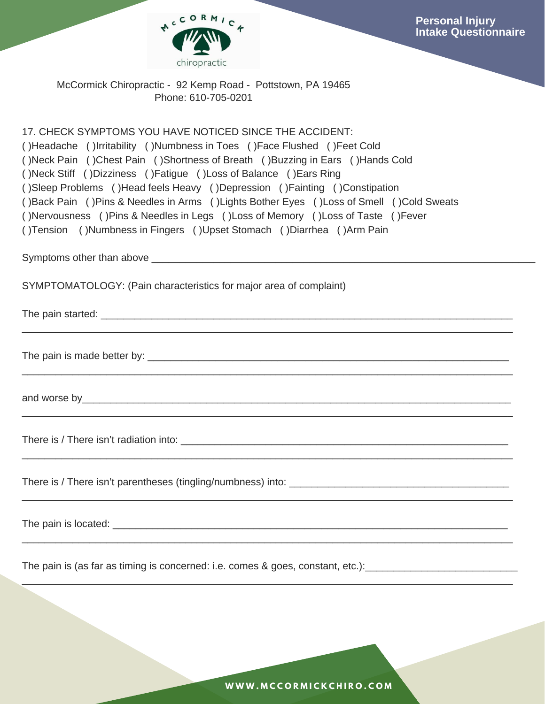

17. CHECK SYMPTOMS YOU HAVE NOTICED SINCE THE ACCIDENT: ( )Headache ( )Irritability ( )Numbness in Toes ( )Face Flushed ( )Feet Cold ( )Neck Pain ( )Chest Pain ( )Shortness of Breath ( )Buzzing in Ears ( )Hands Cold ( )Neck Stiff ( )Dizziness ( )Fatigue ( )Loss of Balance ( )Ears Ring ( )Sleep Problems ( )Head feels Heavy ( )Depression ( )Fainting ( )Constipation ( )Back Pain ( )Pins & Needles in Arms ( )Lights Bother Eyes ( )Loss of Smell ( )Cold Sweats ( )Nervousness ( )Pins & Needles in Legs ( )Loss of Memory ( )Loss of Taste ( )Fever ( )Tension ( )Numbness in Fingers ( )Upset Stomach ( )Diarrhea ( )Arm Pain

 $\mathcal{L}_\mathcal{L} = \mathcal{L}_\mathcal{L} = \mathcal{L}_\mathcal{L} = \mathcal{L}_\mathcal{L} = \mathcal{L}_\mathcal{L} = \mathcal{L}_\mathcal{L} = \mathcal{L}_\mathcal{L} = \mathcal{L}_\mathcal{L} = \mathcal{L}_\mathcal{L} = \mathcal{L}_\mathcal{L} = \mathcal{L}_\mathcal{L} = \mathcal{L}_\mathcal{L} = \mathcal{L}_\mathcal{L} = \mathcal{L}_\mathcal{L} = \mathcal{L}_\mathcal{L} = \mathcal{L}_\mathcal{L} = \mathcal{L}_\mathcal{L}$ 

 $\mathcal{L}_\mathcal{L} = \mathcal{L}_\mathcal{L} = \mathcal{L}_\mathcal{L} = \mathcal{L}_\mathcal{L} = \mathcal{L}_\mathcal{L} = \mathcal{L}_\mathcal{L} = \mathcal{L}_\mathcal{L} = \mathcal{L}_\mathcal{L} = \mathcal{L}_\mathcal{L} = \mathcal{L}_\mathcal{L} = \mathcal{L}_\mathcal{L} = \mathcal{L}_\mathcal{L} = \mathcal{L}_\mathcal{L} = \mathcal{L}_\mathcal{L} = \mathcal{L}_\mathcal{L} = \mathcal{L}_\mathcal{L} = \mathcal{L}_\mathcal{L}$ 

 $\mathcal{L}_\mathcal{L} = \mathcal{L}_\mathcal{L} = \mathcal{L}_\mathcal{L} = \mathcal{L}_\mathcal{L} = \mathcal{L}_\mathcal{L} = \mathcal{L}_\mathcal{L} = \mathcal{L}_\mathcal{L} = \mathcal{L}_\mathcal{L} = \mathcal{L}_\mathcal{L} = \mathcal{L}_\mathcal{L} = \mathcal{L}_\mathcal{L} = \mathcal{L}_\mathcal{L} = \mathcal{L}_\mathcal{L} = \mathcal{L}_\mathcal{L} = \mathcal{L}_\mathcal{L} = \mathcal{L}_\mathcal{L} = \mathcal{L}_\mathcal{L}$ 

 $\mathcal{L}_\mathcal{L} = \mathcal{L}_\mathcal{L} = \mathcal{L}_\mathcal{L} = \mathcal{L}_\mathcal{L} = \mathcal{L}_\mathcal{L} = \mathcal{L}_\mathcal{L} = \mathcal{L}_\mathcal{L} = \mathcal{L}_\mathcal{L} = \mathcal{L}_\mathcal{L} = \mathcal{L}_\mathcal{L} = \mathcal{L}_\mathcal{L} = \mathcal{L}_\mathcal{L} = \mathcal{L}_\mathcal{L} = \mathcal{L}_\mathcal{L} = \mathcal{L}_\mathcal{L} = \mathcal{L}_\mathcal{L} = \mathcal{L}_\mathcal{L}$ 

 $\mathcal{L}_\mathcal{L} = \mathcal{L}_\mathcal{L} = \mathcal{L}_\mathcal{L} = \mathcal{L}_\mathcal{L} = \mathcal{L}_\mathcal{L} = \mathcal{L}_\mathcal{L} = \mathcal{L}_\mathcal{L} = \mathcal{L}_\mathcal{L} = \mathcal{L}_\mathcal{L} = \mathcal{L}_\mathcal{L} = \mathcal{L}_\mathcal{L} = \mathcal{L}_\mathcal{L} = \mathcal{L}_\mathcal{L} = \mathcal{L}_\mathcal{L} = \mathcal{L}_\mathcal{L} = \mathcal{L}_\mathcal{L} = \mathcal{L}_\mathcal{L}$ 

 $\mathcal{L}_\mathcal{L} = \mathcal{L}_\mathcal{L} = \mathcal{L}_\mathcal{L} = \mathcal{L}_\mathcal{L} = \mathcal{L}_\mathcal{L} = \mathcal{L}_\mathcal{L} = \mathcal{L}_\mathcal{L} = \mathcal{L}_\mathcal{L} = \mathcal{L}_\mathcal{L} = \mathcal{L}_\mathcal{L} = \mathcal{L}_\mathcal{L} = \mathcal{L}_\mathcal{L} = \mathcal{L}_\mathcal{L} = \mathcal{L}_\mathcal{L} = \mathcal{L}_\mathcal{L} = \mathcal{L}_\mathcal{L} = \mathcal{L}_\mathcal{L}$ 

 $\mathcal{L}_\mathcal{L} = \mathcal{L}_\mathcal{L} = \mathcal{L}_\mathcal{L} = \mathcal{L}_\mathcal{L} = \mathcal{L}_\mathcal{L} = \mathcal{L}_\mathcal{L} = \mathcal{L}_\mathcal{L} = \mathcal{L}_\mathcal{L} = \mathcal{L}_\mathcal{L} = \mathcal{L}_\mathcal{L} = \mathcal{L}_\mathcal{L} = \mathcal{L}_\mathcal{L} = \mathcal{L}_\mathcal{L} = \mathcal{L}_\mathcal{L} = \mathcal{L}_\mathcal{L} = \mathcal{L}_\mathcal{L} = \mathcal{L}_\mathcal{L}$ 

Symptoms other than above **Example 20** and  $\alpha$  and  $\alpha$  and  $\alpha$  are  $\alpha$  and  $\alpha$  are  $\alpha$  and  $\alpha$  are  $\alpha$  are  $\alpha$  are  $\alpha$  and  $\alpha$  are  $\alpha$  are  $\alpha$  are  $\alpha$  are  $\alpha$  are  $\alpha$  are  $\alpha$  are  $\alpha$  are  $\alpha$  are  $\alpha$  are

SYMPTOMATOLOGY: (Pain characteristics for major area of complaint)

The pain started: **with a state of the state of the state of the state of the state of the state of the state of the state of the state of the state of the state of the state of the state of the state of the state of the s** 

The pain is made better by: \_\_\_\_\_\_\_\_\_\_\_\_\_\_\_\_\_\_\_\_\_\_\_\_\_\_\_\_\_\_\_\_\_\_\_\_\_\_\_\_\_\_\_\_\_\_\_\_\_\_\_\_\_\_\_\_\_\_\_\_\_\_\_\_

and worse by\_\_\_\_\_\_\_\_\_\_\_\_\_\_\_\_\_\_\_\_\_\_\_\_\_\_\_\_\_\_\_\_\_\_\_\_\_\_\_\_\_\_\_\_\_\_\_\_\_\_\_\_\_\_\_\_\_\_\_\_\_\_\_\_\_\_\_\_\_\_\_\_\_\_\_\_

There is / There isn't radiation into: **with the set of the set of the set of the set of the set of the set of the set of the set of the set of the set of the set of the set of the set of the set of the set of the set of t** 

There is / There isn't parentheses (tingling/numbness) into:

The pain is located:  $\Box$ 

The pain is (as far as timing is concerned: i.e. comes & goes, constant, etc.): \_\_\_\_\_\_\_\_\_\_\_\_\_\_\_\_\_\_\_\_\_\_\_\_\_\_\_\_\_\_